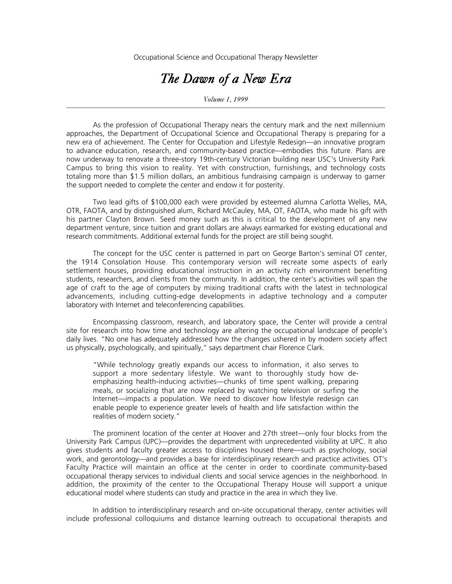Occupational Science and Occupational Therapy Newsletter

## *The Dawn of a New Era*

*Volume 1, 1999*

As the profession of Occupational Therapy nears the century mark and the next millennium approaches, the Department of Occupational Science and Occupational Therapy is preparing for a new era of achievement. The Center for Occupation and Lifestyle Redesign—an innovative program to advance education, research, and community-based practice—embodies this future. Plans are now underway to renovate a three-story 19th-century Victorian building near USC's University Park Campus to bring this vision to reality. Yet with construction, furnishings, and technology costs totaling more than \$1.5 million dollars, an ambitious fundraising campaign is underway to garner the support needed to complete the center and endow it for posterity.

Two lead gifts of \$100,000 each were provided by esteemed alumna Carlotta Welles, MA, OTR, FAOTA, and by distinguished alum, Richard McCauley, MA, OT, FAOTA, who made his gift with his partner Clayton Brown. Seed money such as this is critical to the development of any new department venture, since tuition and grant dollars are always earmarked for existing educational and research commitments. Additional external funds for the project are still being sought.

The concept for the USC center is patterned in part on George Barton's seminal OT center, the 1914 Consolation House. This contemporary version will recreate some aspects of early settlement houses, providing educational instruction in an activity rich environment benefiting students, researchers, and clients from the community. In addition, the center's activities will span the age of craft to the age of computers by mixing traditional crafts with the latest in technological advancements, including cutting-edge developments in adaptive technology and a computer laboratory with Internet and teleconferencing capabilities.

Encompassing classroom, research, and laboratory space, the Center will provide a central site for research into how time and technology are altering the occupational landscape of people's daily lives. "No one has adequately addressed how the changes ushered in by modern society affect us physically, psychologically, and spiritually," says department chair Florence Clark.

"While technology greatly expands our access to information, it also serves to support a more sedentary lifestyle. We want to thoroughly study how deemphasizing health-inducing activities—chunks of time spent walking, preparing meals, or socializing that are now replaced by watching television or surfing the Internet—impacts a population. We need to discover how lifestyle redesign can enable people to experience greater levels of health and life satisfaction within the realities of modern society."

The prominent location of the center at Hoover and 27th street—only four blocks from the University Park Campus (UPC)—provides the department with unprecedented visibility at UPC. It also gives students and faculty greater access to disciplines housed there—such as psychology, social work, and gerontology—and provides a base for interdisciplinary research and practice activities. OT's Faculty Practice will maintain an office at the center in order to coordinate community-based occupational therapy services to individual clients and social service agencies in the neighborhood. In addition, the proximity of the center to the Occupational Therapy House will support a unique educational model where students can study and practice in the area in which they live.

In addition to interdisciplinary research and on-site occupational therapy, center activities will include professional colloquiums and distance learning outreach to occupational therapists and